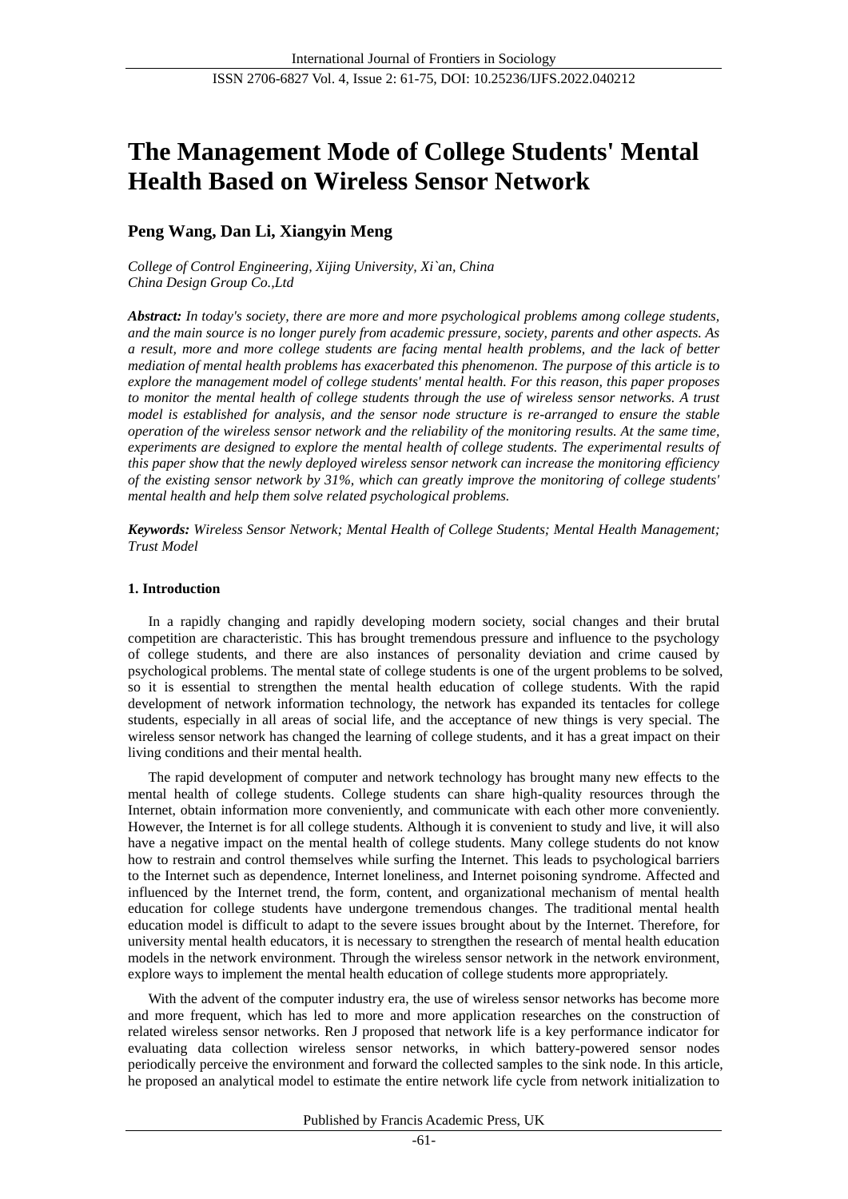# **The Management Mode of College Students' Mental Health Based on Wireless Sensor Network**

# **Peng Wang, Dan Li, Xiangyin Meng**

*College of Control Engineering, Xijing University, Xi`an, China China Design Group Co.,Ltd*

*Abstract: In today's society, there are more and more psychological problems among college students, and the main source is no longer purely from academic pressure, society, parents and other aspects. As a result, more and more college students are facing mental health problems, and the lack of better mediation of mental health problems has exacerbated this phenomenon. The purpose of this article is to explore the management model of college students' mental health. For this reason, this paper proposes to monitor the mental health of college students through the use of wireless sensor networks. A trust model is established for analysis, and the sensor node structure is re-arranged to ensure the stable operation of the wireless sensor network and the reliability of the monitoring results. At the same time, experiments are designed to explore the mental health of college students. The experimental results of this paper show that the newly deployed wireless sensor network can increase the monitoring efficiency of the existing sensor network by 31%, which can greatly improve the monitoring of college students' mental health and help them solve related psychological problems.*

*Keywords: Wireless Sensor Network; Mental Health of College Students; Mental Health Management; Trust Model*

## **1. Introduction**

In a rapidly changing and rapidly developing modern society, social changes and their brutal competition are characteristic. This has brought tremendous pressure and influence to the psychology of college students, and there are also instances of personality deviation and crime caused by psychological problems. The mental state of college students is one of the urgent problems to be solved, so it is essential to strengthen the mental health education of college students. With the rapid development of network information technology, the network has expanded its tentacles for college students, especially in all areas of social life, and the acceptance of new things is very special. The wireless sensor network has changed the learning of college students, and it has a great impact on their living conditions and their mental health.

The rapid development of computer and network technology has brought many new effects to the mental health of college students. College students can share high-quality resources through the Internet, obtain information more conveniently, and communicate with each other more conveniently. However, the Internet is for all college students. Although it is convenient to study and live, it will also have a negative impact on the mental health of college students. Many college students do not know how to restrain and control themselves while surfing the Internet. This leads to psychological barriers to the Internet such as dependence, Internet loneliness, and Internet poisoning syndrome. Affected and influenced by the Internet trend, the form, content, and organizational mechanism of mental health education for college students have undergone tremendous changes. The traditional mental health education model is difficult to adapt to the severe issues brought about by the Internet. Therefore, for university mental health educators, it is necessary to strengthen the research of mental health education models in the network environment. Through the wireless sensor network in the network environment, explore ways to implement the mental health education of college students more appropriately.

With the advent of the computer industry era, the use of wireless sensor networks has become more and more frequent, which has led to more and more application researches on the construction of related wireless sensor networks. Ren J proposed that network life is a key performance indicator for evaluating data collection wireless sensor networks, in which battery-powered sensor nodes periodically perceive the environment and forward the collected samples to the sink node. In this article, he proposed an analytical model to estimate the entire network life cycle from network initialization to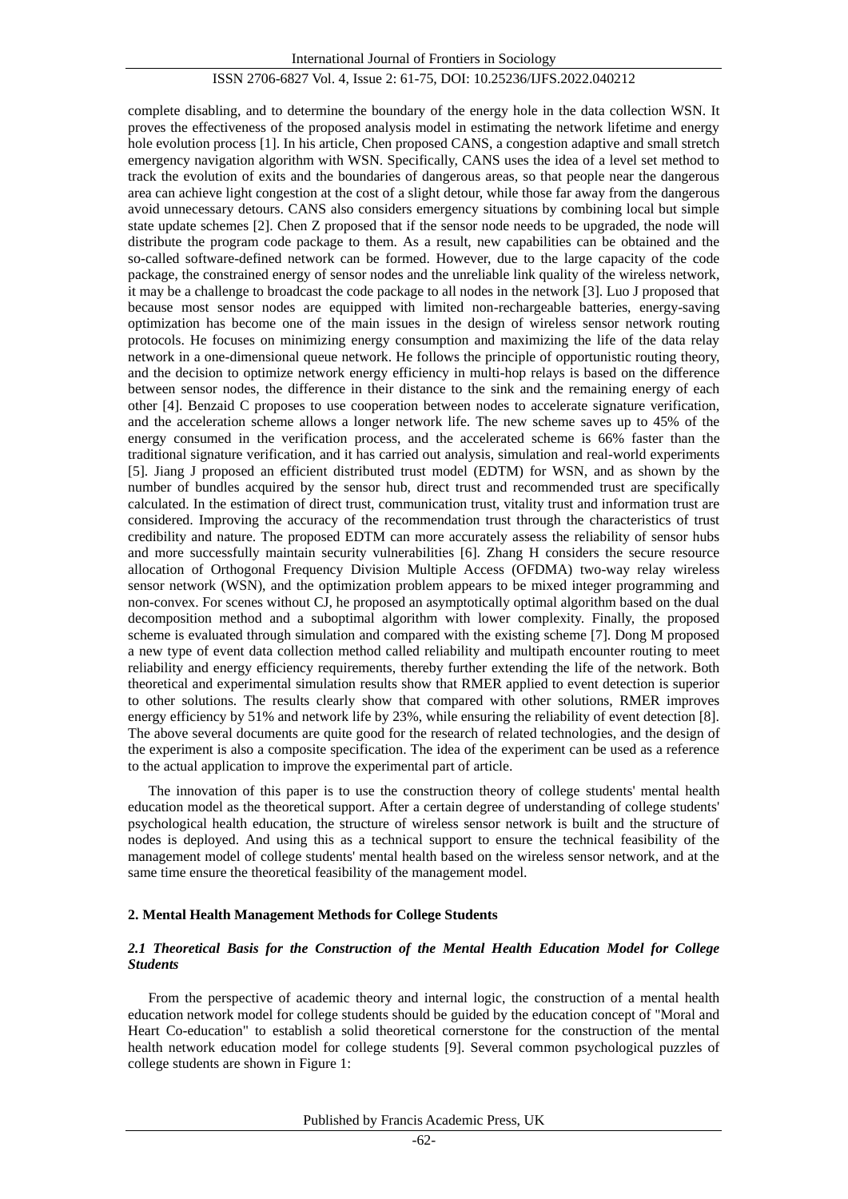complete disabling, and to determine the boundary of the energy hole in the data collection WSN. It proves the effectiveness of the proposed analysis model in estimating the network lifetime and energy hole evolution process [1]. In his article, Chen proposed CANS, a congestion adaptive and small stretch emergency navigation algorithm with WSN. Specifically, CANS uses the idea of a level set method to track the evolution of exits and the boundaries of dangerous areas, so that people near the dangerous area can achieve light congestion at the cost of a slight detour, while those far away from the dangerous avoid unnecessary detours. CANS also considers emergency situations by combining local but simple state update schemes [2]. Chen Z proposed that if the sensor node needs to be upgraded, the node will distribute the program code package to them. As a result, new capabilities can be obtained and the so-called software-defined network can be formed. However, due to the large capacity of the code package, the constrained energy of sensor nodes and the unreliable link quality of the wireless network, it may be a challenge to broadcast the code package to all nodes in the network [3]. Luo J proposed that because most sensor nodes are equipped with limited non-rechargeable batteries, energy-saving optimization has become one of the main issues in the design of wireless sensor network routing protocols. He focuses on minimizing energy consumption and maximizing the life of the data relay network in a one-dimensional queue network. He follows the principle of opportunistic routing theory, and the decision to optimize network energy efficiency in multi-hop relays is based on the difference between sensor nodes, the difference in their distance to the sink and the remaining energy of each other [4]. Benzaid C proposes to use cooperation between nodes to accelerate signature verification, and the acceleration scheme allows a longer network life. The new scheme saves up to 45% of the energy consumed in the verification process, and the accelerated scheme is 66% faster than the traditional signature verification, and it has carried out analysis, simulation and real-world experiments [5]. Jiang J proposed an efficient distributed trust model (EDTM) for WSN, and as shown by the number of bundles acquired by the sensor hub, direct trust and recommended trust are specifically calculated. In the estimation of direct trust, communication trust, vitality trust and information trust are considered. Improving the accuracy of the recommendation trust through the characteristics of trust credibility and nature. The proposed EDTM can more accurately assess the reliability of sensor hubs and more successfully maintain security vulnerabilities [6]. Zhang H considers the secure resource allocation of Orthogonal Frequency Division Multiple Access (OFDMA) two-way relay wireless sensor network (WSN), and the optimization problem appears to be mixed integer programming and non-convex. For scenes without CJ, he proposed an asymptotically optimal algorithm based on the dual decomposition method and a suboptimal algorithm with lower complexity. Finally, the proposed scheme is evaluated through simulation and compared with the existing scheme [7]. Dong M proposed a new type of event data collection method called reliability and multipath encounter routing to meet reliability and energy efficiency requirements, thereby further extending the life of the network. Both theoretical and experimental simulation results show that RMER applied to event detection is superior to other solutions. The results clearly show that compared with other solutions, RMER improves energy efficiency by 51% and network life by 23%, while ensuring the reliability of event detection [8]. The above several documents are quite good for the research of related technologies, and the design of the experiment is also a composite specification. The idea of the experiment can be used as a reference to the actual application to improve the experimental part of article.

The innovation of this paper is to use the construction theory of college students' mental health education model as the theoretical support. After a certain degree of understanding of college students' psychological health education, the structure of wireless sensor network is built and the structure of nodes is deployed. And using this as a technical support to ensure the technical feasibility of the management model of college students' mental health based on the wireless sensor network, and at the same time ensure the theoretical feasibility of the management model.

#### **2. Mental Health Management Methods for College Students**

# *2.1 Theoretical Basis for the Construction of the Mental Health Education Model for College Students*

From the perspective of academic theory and internal logic, the construction of a mental health education network model for college students should be guided by the education concept of "Moral and Heart Co-education" to establish a solid theoretical cornerstone for the construction of the mental health network education model for college students [9]. Several common psychological puzzles of college students are shown in Figure 1: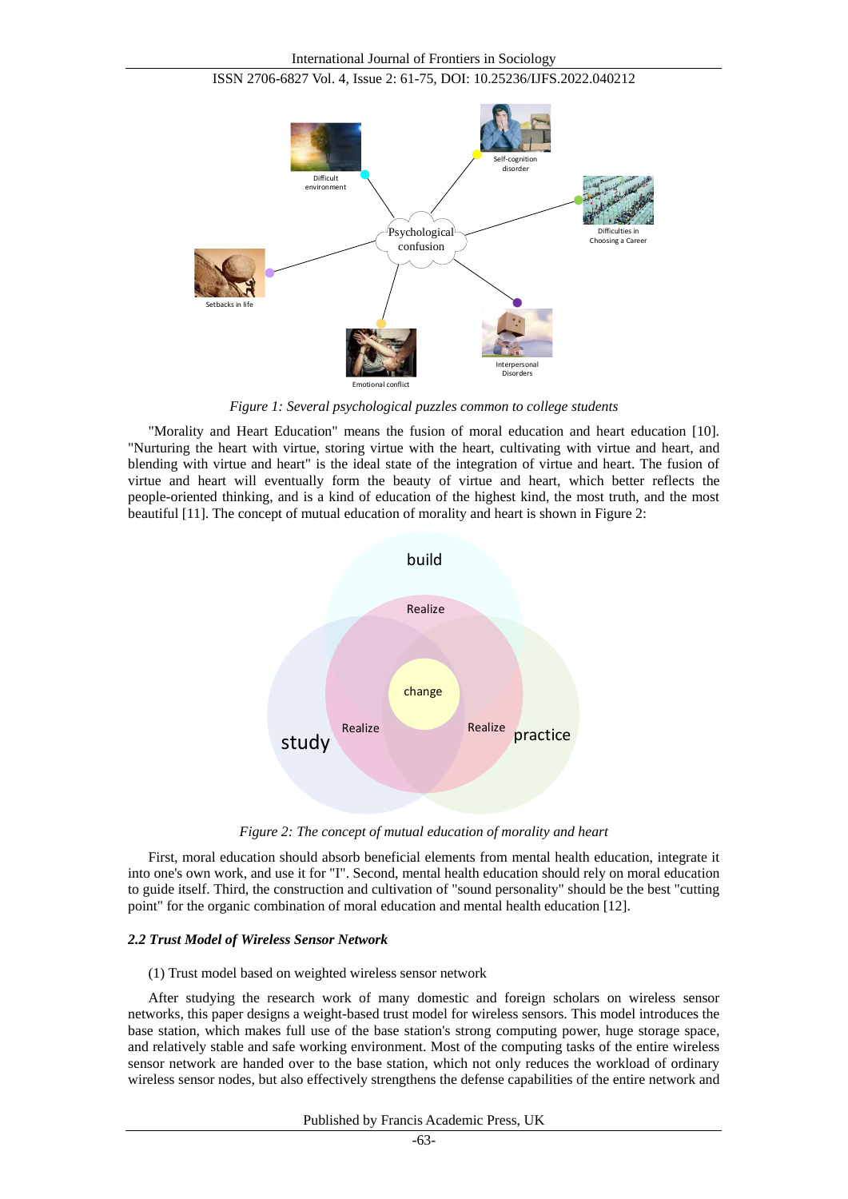



*Figure 1: Several psychological puzzles common to college students*

"Morality and Heart Education" means the fusion of moral education and heart education [10]. "Nurturing the heart with virtue, storing virtue with the heart, cultivating with virtue and heart, and blending with virtue and heart" is the ideal state of the integration of virtue and heart. The fusion of virtue and heart will eventually form the beauty of virtue and heart, which better reflects the people-oriented thinking, and is a kind of education of the highest kind, the most truth, and the most beautiful [11]. The concept of mutual education of morality and heart is shown in Figure 2:



*Figure 2: The concept of mutual education of morality and heart*

First, moral education should absorb beneficial elements from mental health education, integrate it into one's own work, and use it for "I". Second, mental health education should rely on moral education to guide itself. Third, the construction and cultivation of "sound personality" should be the best "cutting point" for the organic combination of moral education and mental health education [12].

## *2.2 Trust Model of Wireless Sensor Network*

## (1) Trust model based on weighted wireless sensor network

After studying the research work of many domestic and foreign scholars on wireless sensor networks, this paper designs a weight-based trust model for wireless sensors. This model introduces the base station, which makes full use of the base station's strong computing power, huge storage space, and relatively stable and safe working environment. Most of the computing tasks of the entire wireless sensor network are handed over to the base station, which not only reduces the workload of ordinary wireless sensor nodes, but also effectively strengthens the defense capabilities of the entire network and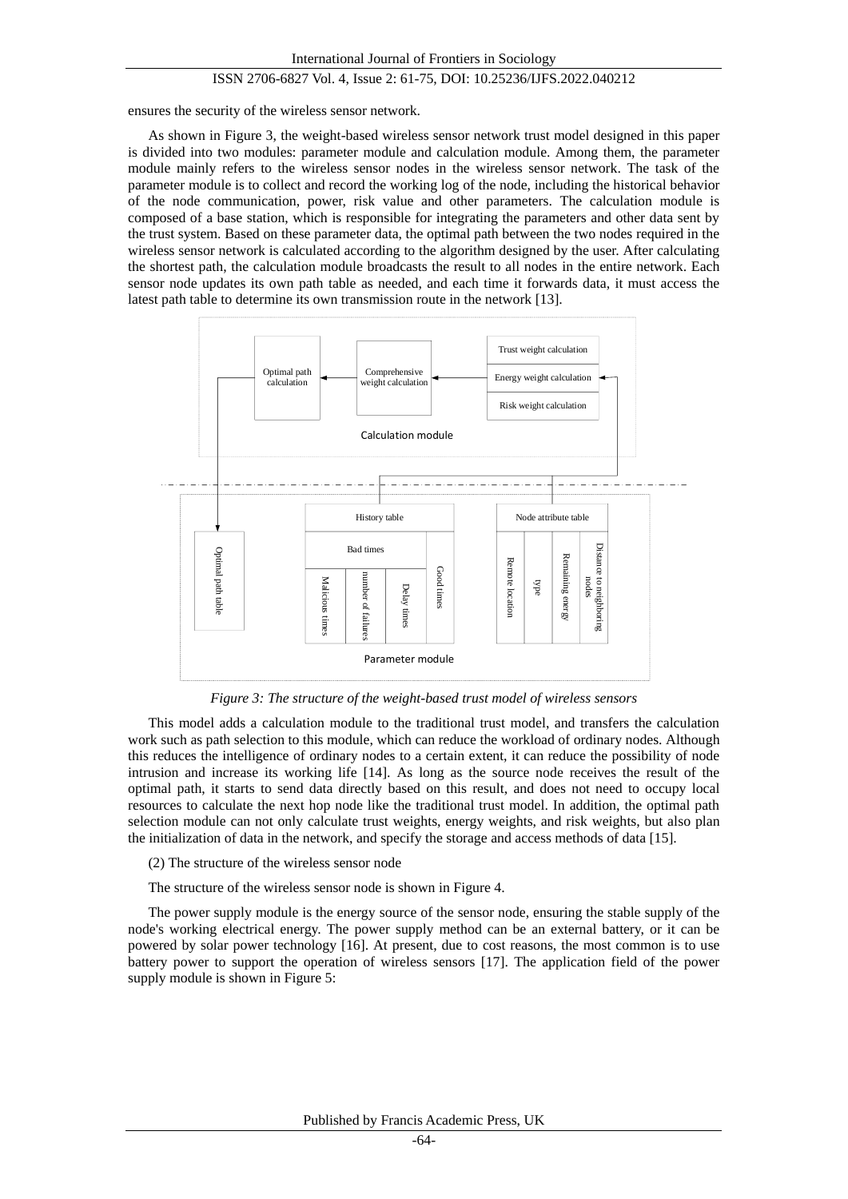ensures the security of the wireless sensor network.

As shown in Figure 3, the weight-based wireless sensor network trust model designed in this paper is divided into two modules: parameter module and calculation module. Among them, the parameter module mainly refers to the wireless sensor nodes in the wireless sensor network. The task of the parameter module is to collect and record the working log of the node, including the historical behavior of the node communication, power, risk value and other parameters. The calculation module is composed of a base station, which is responsible for integrating the parameters and other data sent by the trust system. Based on these parameter data, the optimal path between the two nodes required in the wireless sensor network is calculated according to the algorithm designed by the user. After calculating the shortest path, the calculation module broadcasts the result to all nodes in the entire network. Each sensor node updates its own path table as needed, and each time it forwards data, it must access the latest path table to determine its own transmission route in the network [13].



*Figure 3: The structure of the weight-based trust model of wireless sensors*

This model adds a calculation module to the traditional trust model, and transfers the calculation work such as path selection to this module, which can reduce the workload of ordinary nodes. Although this reduces the intelligence of ordinary nodes to a certain extent, it can reduce the possibility of node intrusion and increase its working life [14]. As long as the source node receives the result of the optimal path, it starts to send data directly based on this result, and does not need to occupy local resources to calculate the next hop node like the traditional trust model. In addition, the optimal path selection module can not only calculate trust weights, energy weights, and risk weights, but also plan the initialization of data in the network, and specify the storage and access methods of data [15].

## (2) The structure of the wireless sensor node

The structure of the wireless sensor node is shown in Figure 4.

The power supply module is the energy source of the sensor node, ensuring the stable supply of the node's working electrical energy. The power supply method can be an external battery, or it can be powered by solar power technology [16]. At present, due to cost reasons, the most common is to use battery power to support the operation of wireless sensors [17]. The application field of the power supply module is shown in Figure 5: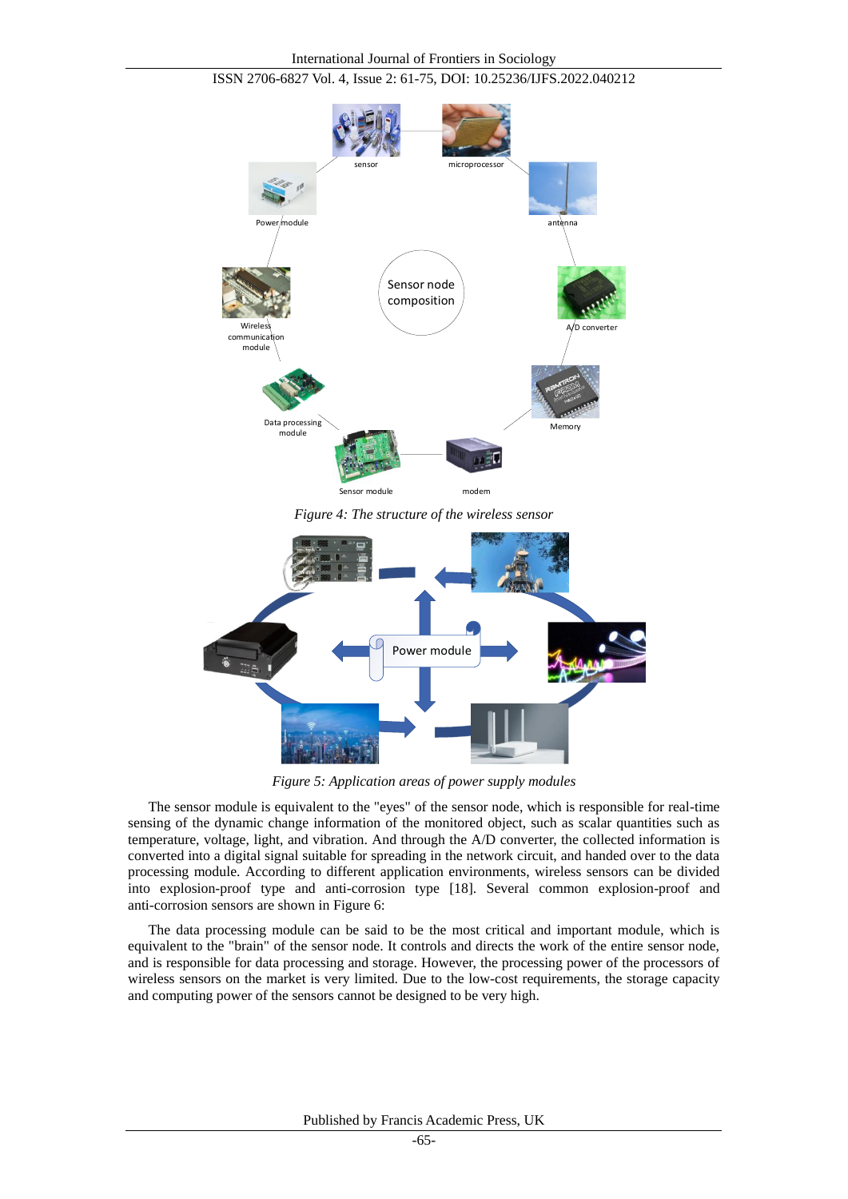

ISSN 2706-6827 Vol. 4, Issue 2: 61-75, DOI: 10.25236/IJFS.2022.040212

*Figure 4: The structure of the wireless sensor*



*Figure 5: Application areas of power supply modules*

The sensor module is equivalent to the "eyes" of the sensor node, which is responsible for real-time sensing of the dynamic change information of the monitored object, such as scalar quantities such as temperature, voltage, light, and vibration. And through the A/D converter, the collected information is converted into a digital signal suitable for spreading in the network circuit, and handed over to the data processing module. According to different application environments, wireless sensors can be divided into explosion-proof type and anti-corrosion type [18]. Several common explosion-proof and anti-corrosion sensors are shown in Figure 6:

The data processing module can be said to be the most critical and important module, which is equivalent to the "brain" of the sensor node. It controls and directs the work of the entire sensor node, and is responsible for data processing and storage. However, the processing power of the processors of wireless sensors on the market is very limited. Due to the low-cost requirements, the storage capacity and computing power of the sensors cannot be designed to be very high.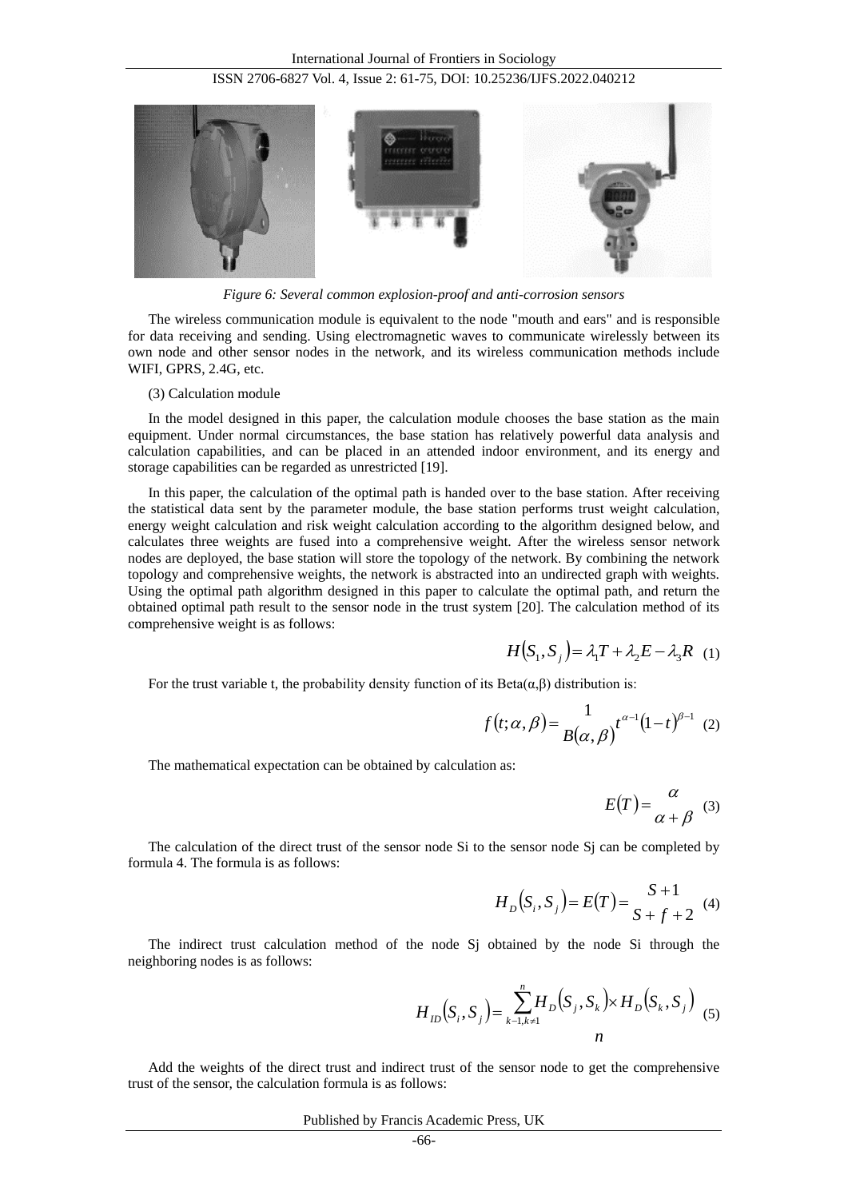

*Figure 6: Several common explosion-proof and anti-corrosion sensors*

The wireless communication module is equivalent to the node "mouth and ears" and is responsible for data receiving and sending. Using electromagnetic waves to communicate wirelessly between its own node and other sensor nodes in the network, and its wireless communication methods include WIFI, GPRS, 2.4G, etc.

(3) Calculation module

In the model designed in this paper, the calculation module chooses the base station as the main equipment. Under normal circumstances, the base station has relatively powerful data analysis and calculation capabilities, and can be placed in an attended indoor environment, and its energy and storage capabilities can be regarded as unrestricted [19].

In this paper, the calculation of the optimal path is handed over to the base station. After receiving the statistical data sent by the parameter module, the base station performs trust weight calculation, energy weight calculation and risk weight calculation according to the algorithm designed below, and calculates three weights are fused into a comprehensive weight. After the wireless sensor network nodes are deployed, the base station will store the topology of the network. By combining the network topology and comprehensive weights, the network is abstracted into an undirected graph with weights. Using the optimal path algorithm designed in this paper to calculate the optimal path, and return the obtained optimal path result to the sensor node in the trust system [20]. The calculation method of its comprehensive weight is as follows:

$$
H(S_1, S_j) = \lambda_1 T + \lambda_2 E - \lambda_3 R \quad (1)
$$

For the trust variable t, the probability density function of its Beta $(\alpha, \beta)$  distribution is:

$$
f(t; \alpha, \beta) = \frac{1}{B(\alpha, \beta)} t^{\alpha - 1} (1 - t)^{\beta - 1} (2)
$$

The mathematical expectation can be obtained by calculation as:

$$
E(T) = \frac{\alpha}{\alpha + \beta} \quad (3)
$$

The calculation of the direct trust of the sensor node Si to the sensor node Sj can be completed by formula 4. The formula is as follows:

$$
H_D(S_i, S_j) = E(T) = \frac{S+1}{S+f+2}
$$
 (4)

The indirect trust calculation method of the node Sj obtained by the node Si through the neighboring nodes is as follows:

$$
H_{ID}(S_i, S_j) = \sum_{k=1, k \neq 1}^{n} H_{D}(S_j, S_k) \times H_{D}(S_k, S_j)
$$
 (5)

Add the weights of the direct trust and indirect trust of the sensor node to get the comprehensive trust of the sensor, the calculation formula is as follows: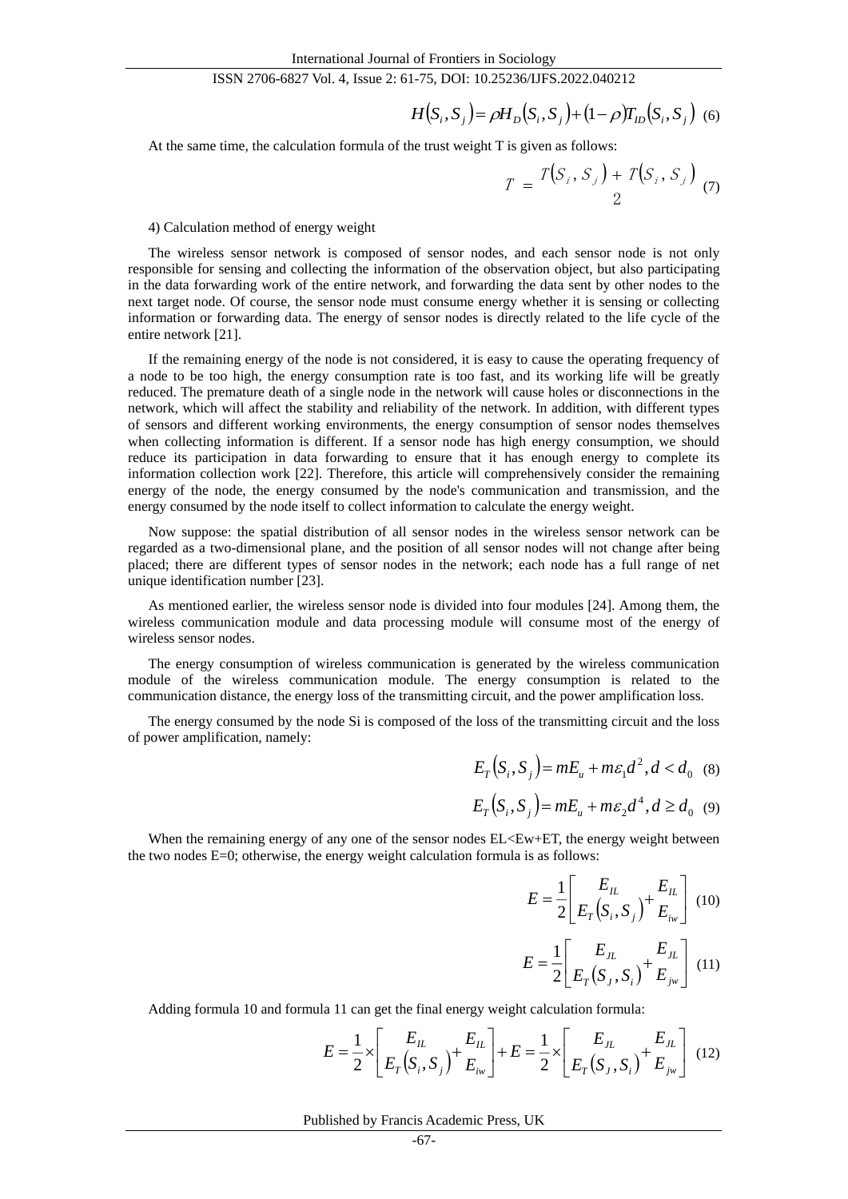$$
H(S_i, S_j) = \rho H_D(S_i, S_j) + (1 - \rho) T_{ID}(S_i, S_j)
$$
 (6)

At the same time, the calculation formula of the trust weight T is given as follows:

$$
T = \frac{T(S_i, S_j) + T(S_i, S_j)}{2} \tag{7}
$$

4) Calculation method of energy weight

The wireless sensor network is composed of sensor nodes, and each sensor node is not only responsible for sensing and collecting the information of the observation object, but also participating in the data forwarding work of the entire network, and forwarding the data sent by other nodes to the next target node. Of course, the sensor node must consume energy whether it is sensing or collecting information or forwarding data. The energy of sensor nodes is directly related to the life cycle of the entire network [21].

If the remaining energy of the node is not considered, it is easy to cause the operating frequency of a node to be too high, the energy consumption rate is too fast, and its working life will be greatly reduced. The premature death of a single node in the network will cause holes or disconnections in the network, which will affect the stability and reliability of the network. In addition, with different types of sensors and different working environments, the energy consumption of sensor nodes themselves when collecting information is different. If a sensor node has high energy consumption, we should reduce its participation in data forwarding to ensure that it has enough energy to complete its information collection work [22]. Therefore, this article will comprehensively consider the remaining energy of the node, the energy consumed by the node's communication and transmission, and the energy consumed by the node itself to collect information to calculate the energy weight.

Now suppose: the spatial distribution of all sensor nodes in the wireless sensor network can be regarded as a two-dimensional plane, and the position of all sensor nodes will not change after being placed; there are different types of sensor nodes in the network; each node has a full range of net unique identification number [23].

As mentioned earlier, the wireless sensor node is divided into four modules [24]. Among them, the wireless communication module and data processing module will consume most of the energy of wireless sensor nodes.

The energy consumption of wireless communication is generated by the wireless communication module of the wireless communication module. The energy consumption is related to the communication distance, the energy loss of the transmitting circuit, and the power amplification loss.

The energy consumed by the node Si is composed of the loss of the transmitting circuit and the loss of power amplification, namely:

$$
E_T(S_i, S_j) = mE_u + m\varepsilon_1 d^2, d < d_0 \quad (8)
$$

$$
E_T(S_i, S_j) = mE_u + m\varepsilon_2 d^4, d \ge d_0 \quad (9)
$$

When the remaining energy of any one of the sensor nodes  $EL \le E \le E$ , the energy weight between the two nodes E=0; otherwise, the energy weight calculation formula is as follows:

$$
E = \frac{1}{2} \left[ \frac{E_{IL}}{E_T (S_i, S_j)} + \frac{E_{IL}}{E_{iw}} \right] (10)
$$

$$
E = \frac{1}{2} \left[ \frac{E_{JL}}{E_T(S_J, S_i)} + \frac{E_{JL}}{E_{jw}} \right] (11)
$$

Adding formula 10 and formula 11 can get the final energy weight calculation formula:

$$
E = \frac{1}{2} \times \left[ \frac{E_{IL}}{E_T(S_i, S_j)} + \frac{E_{IL}}{E_{iw}} \right] + E = \frac{1}{2} \times \left[ \frac{E_{IL}}{E_T(S_j, S_i)} + \frac{E_{IL}}{E_{jw}} \right]
$$
(12)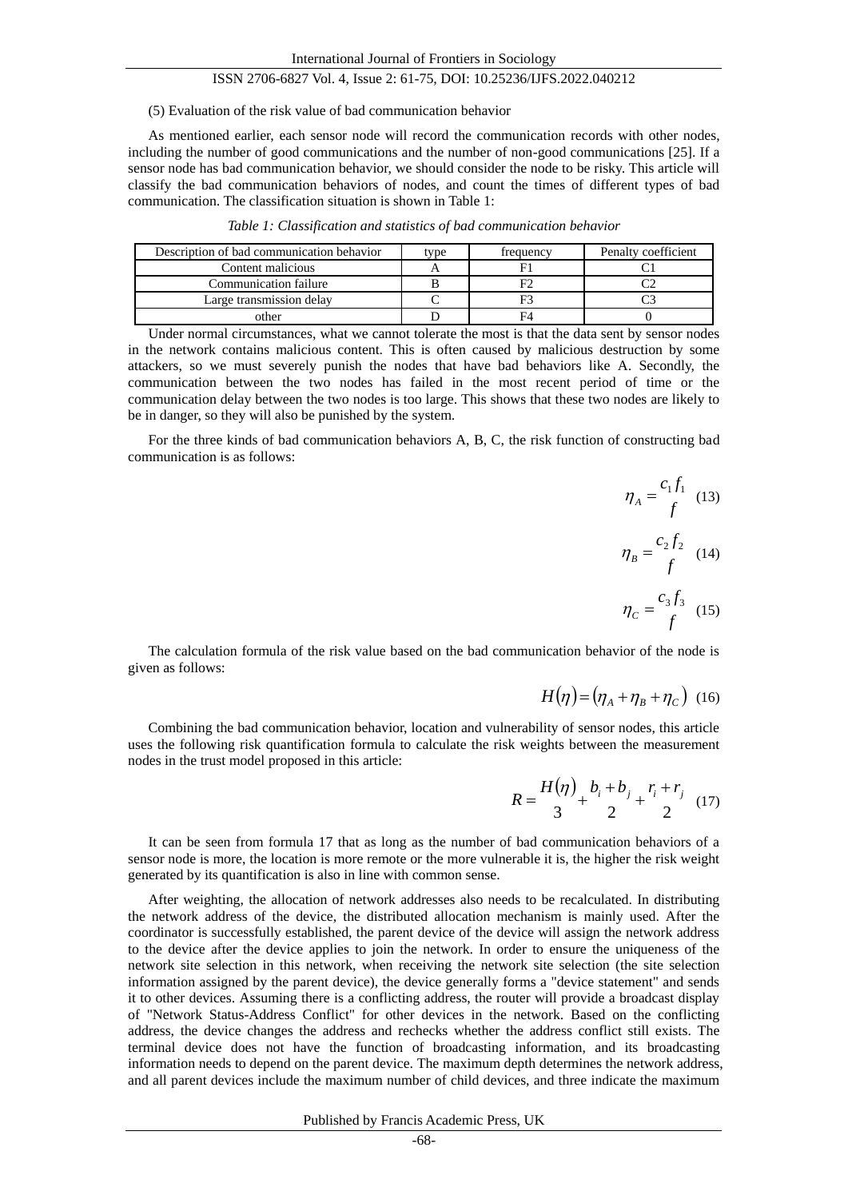#### (5) Evaluation of the risk value of bad communication behavior

As mentioned earlier, each sensor node will record the communication records with other nodes, including the number of good communications and the number of non-good communications [25]. If a sensor node has bad communication behavior, we should consider the node to be risky. This article will classify the bad communication behaviors of nodes, and count the times of different types of bad communication. The classification situation is shown in Table 1:

| Description of bad communication behavior | tvpe | trequency | Penalty coefficient |
|-------------------------------------------|------|-----------|---------------------|
| Content malicious                         |      |           |                     |
| Communication failure                     |      |           |                     |
| Large transmission delay                  |      |           |                     |
| nther                                     |      | FΔ        |                     |

*Table 1: Classification and statistics of bad communication behavior*

Under normal circumstances, what we cannot tolerate the most is that the data sent by sensor nodes in the network contains malicious content. This is often caused by malicious destruction by some attackers, so we must severely punish the nodes that have bad behaviors like A. Secondly, the communication between the two nodes has failed in the most recent period of time or the communication delay between the two nodes is too large. This shows that these two nodes are likely to be in danger, so they will also be punished by the system.

For the three kinds of bad communication behaviors A, B, C, the risk function of constructing bad communication is as follows:

> *f*  $c_1 f$ *A*  $\eta_A = \frac{c_{1J1}}{a}$  (13)

$$
\eta_B = \frac{c_2 f_2}{f} \quad (14)
$$

$$
\eta_C = \frac{c_3 f_3}{f} \quad (15)
$$

The calculation formula of the risk value based on the bad communication behavior of the node is given as follows:

$$
H(\eta) = (\eta_A + \eta_B + \eta_C) \tag{16}
$$

Combining the bad communication behavior, location and vulnerability of sensor nodes, this article uses the following risk quantification formula to calculate the risk weights between the measurement nodes in the trust model proposed in this article:

$$
R = \frac{H(\eta)}{3} + \frac{b_i + b_j}{2} + \frac{r_i + r_j}{2} \tag{17}
$$

It can be seen from formula 17 that as long as the number of bad communication behaviors of a sensor node is more, the location is more remote or the more vulnerable it is, the higher the risk weight generated by its quantification is also in line with common sense.

After weighting, the allocation of network addresses also needs to be recalculated. In distributing the network address of the device, the distributed allocation mechanism is mainly used. After the coordinator is successfully established, the parent device of the device will assign the network address to the device after the device applies to join the network. In order to ensure the uniqueness of the network site selection in this network, when receiving the network site selection (the site selection information assigned by the parent device), the device generally forms a "device statement" and sends it to other devices. Assuming there is a conflicting address, the router will provide a broadcast display of "Network Status-Address Conflict" for other devices in the network. Based on the conflicting address, the device changes the address and rechecks whether the address conflict still exists. The terminal device does not have the function of broadcasting information, and its broadcasting information needs to depend on the parent device. The maximum depth determines the network address, and all parent devices include the maximum number of child devices, and three indicate the maximum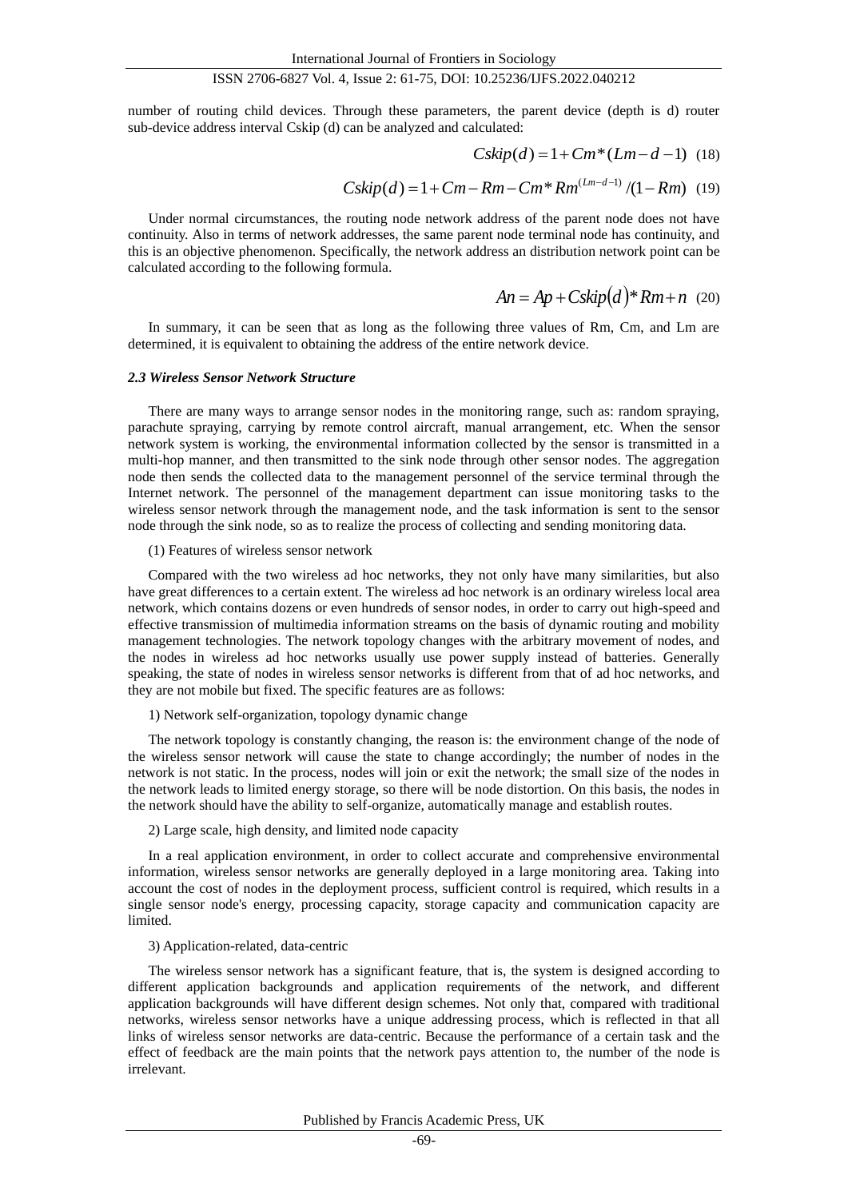number of routing child devices. Through these parameters, the parent device (depth is d) router sub-device address interval Cskip (d) can be analyzed and calculated:

$$
Cskip(d) = 1 + Cm*(Lm-d-1)
$$
 (18)

$$
Cskip(d) = 1 + Cm - Rm - Cm * Rm^{(Lm - d - 1)}/(1 - Rm) \tag{19}
$$

Under normal circumstances, the routing node network address of the parent node does not have continuity. Also in terms of network addresses, the same parent node terminal node has continuity, and this is an objective phenomenon. Specifically, the network address an distribution network point can be calculated according to the following formula.

$$
An = Ap + Cskip(d)*Rm + n \quad (20)
$$

In summary, it can be seen that as long as the following three values of Rm, Cm, and Lm are determined, it is equivalent to obtaining the address of the entire network device.

#### *2.3 Wireless Sensor Network Structure*

There are many ways to arrange sensor nodes in the monitoring range, such as: random spraying, parachute spraying, carrying by remote control aircraft, manual arrangement, etc. When the sensor network system is working, the environmental information collected by the sensor is transmitted in a multi-hop manner, and then transmitted to the sink node through other sensor nodes. The aggregation node then sends the collected data to the management personnel of the service terminal through the Internet network. The personnel of the management department can issue monitoring tasks to the wireless sensor network through the management node, and the task information is sent to the sensor node through the sink node, so as to realize the process of collecting and sending monitoring data.

#### (1) Features of wireless sensor network

Compared with the two wireless ad hoc networks, they not only have many similarities, but also have great differences to a certain extent. The wireless ad hoc network is an ordinary wireless local area network, which contains dozens or even hundreds of sensor nodes, in order to carry out high-speed and effective transmission of multimedia information streams on the basis of dynamic routing and mobility management technologies. The network topology changes with the arbitrary movement of nodes, and the nodes in wireless ad hoc networks usually use power supply instead of batteries. Generally speaking, the state of nodes in wireless sensor networks is different from that of ad hoc networks, and they are not mobile but fixed. The specific features are as follows:

#### 1) Network self-organization, topology dynamic change

The network topology is constantly changing, the reason is: the environment change of the node of the wireless sensor network will cause the state to change accordingly; the number of nodes in the network is not static. In the process, nodes will join or exit the network; the small size of the nodes in the network leads to limited energy storage, so there will be node distortion. On this basis, the nodes in the network should have the ability to self-organize, automatically manage and establish routes.

### 2) Large scale, high density, and limited node capacity

In a real application environment, in order to collect accurate and comprehensive environmental information, wireless sensor networks are generally deployed in a large monitoring area. Taking into account the cost of nodes in the deployment process, sufficient control is required, which results in a single sensor node's energy, processing capacity, storage capacity and communication capacity are limited.

## 3) Application-related, data-centric

The wireless sensor network has a significant feature, that is, the system is designed according to different application backgrounds and application requirements of the network, and different application backgrounds will have different design schemes. Not only that, compared with traditional networks, wireless sensor networks have a unique addressing process, which is reflected in that all links of wireless sensor networks are data-centric. Because the performance of a certain task and the effect of feedback are the main points that the network pays attention to, the number of the node is irrelevant.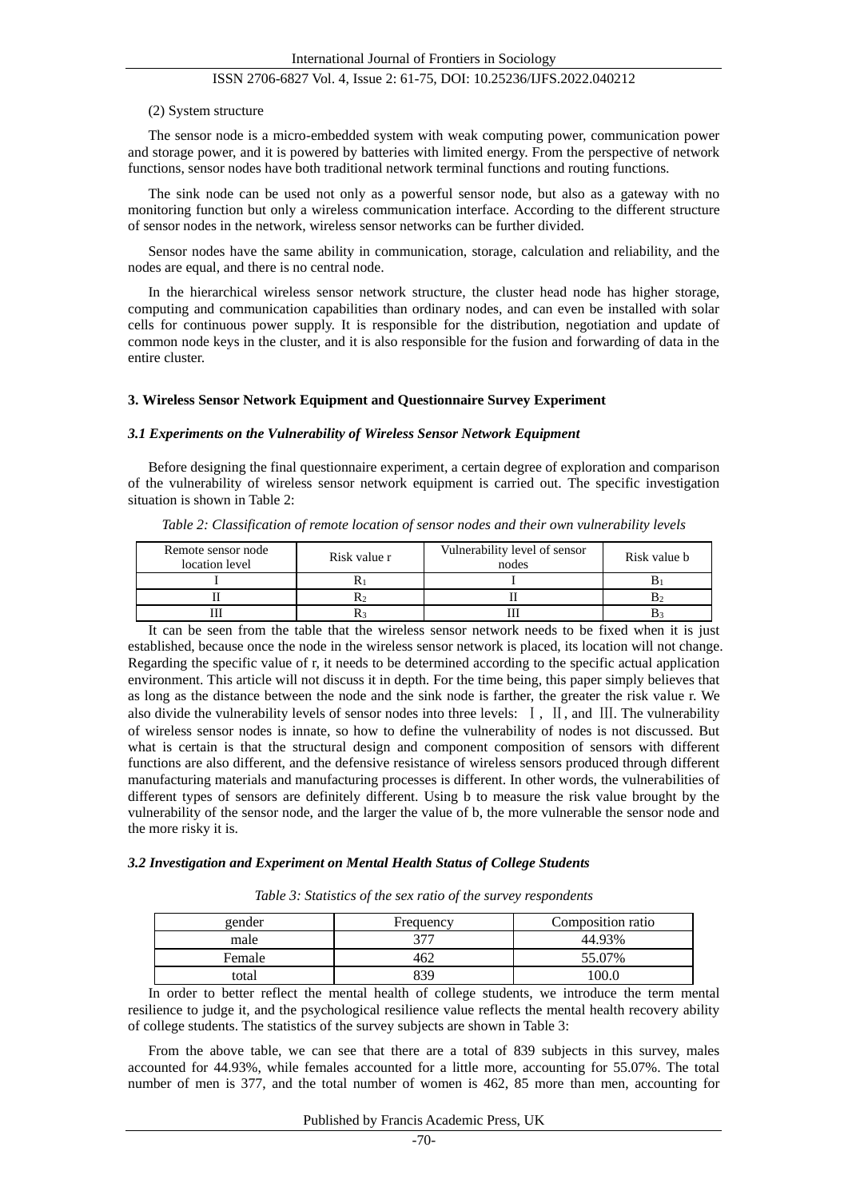#### (2) System structure

The sensor node is a micro-embedded system with weak computing power, communication power and storage power, and it is powered by batteries with limited energy. From the perspective of network functions, sensor nodes have both traditional network terminal functions and routing functions.

The sink node can be used not only as a powerful sensor node, but also as a gateway with no monitoring function but only a wireless communication interface. According to the different structure of sensor nodes in the network, wireless sensor networks can be further divided.

Sensor nodes have the same ability in communication, storage, calculation and reliability, and the nodes are equal, and there is no central node.

In the hierarchical wireless sensor network structure, the cluster head node has higher storage, computing and communication capabilities than ordinary nodes, and can even be installed with solar cells for continuous power supply. It is responsible for the distribution, negotiation and update of common node keys in the cluster, and it is also responsible for the fusion and forwarding of data in the entire cluster.

## **3. Wireless Sensor Network Equipment and Questionnaire Survey Experiment**

#### *3.1 Experiments on the Vulnerability of Wireless Sensor Network Equipment*

Before designing the final questionnaire experiment, a certain degree of exploration and comparison of the vulnerability of wireless sensor network equipment is carried out. The specific investigation situation is shown in Table 2:

| Remote sensor node<br>location level | Risk value r | Vulnerability level of sensor<br>nodes | Risk value b |  |
|--------------------------------------|--------------|----------------------------------------|--------------|--|
|                                      |              |                                        |              |  |
|                                      |              |                                        |              |  |
|                                      |              |                                        |              |  |

*Table 2: Classification of remote location of sensor nodes and their own vulnerability levels*

It can be seen from the table that the wireless sensor network needs to be fixed when it is just established, because once the node in the wireless sensor network is placed, its location will not change. Regarding the specific value of r, it needs to be determined according to the specific actual application environment. This article will not discuss it in depth. For the time being, this paper simply believes that as long as the distance between the node and the sink node is farther, the greater the risk value r. We also divide the vulnerability levels of sensor nodes into three levels: Ⅰ, Ⅱ, and Ⅲ. The vulnerability of wireless sensor nodes is innate, so how to define the vulnerability of nodes is not discussed. But what is certain is that the structural design and component composition of sensors with different functions are also different, and the defensive resistance of wireless sensors produced through different manufacturing materials and manufacturing processes is different. In other words, the vulnerabilities of different types of sensors are definitely different. Using b to measure the risk value brought by the vulnerability of the sensor node, and the larger the value of b, the more vulnerable the sensor node and the more risky it is.

#### *3.2 Investigation and Experiment on Mental Health Status of College Students*

|  |  |  |  |  |  | Table 3: Statistics of the sex ratio of the survey respondents |  |  |
|--|--|--|--|--|--|----------------------------------------------------------------|--|--|
|  |  |  |  |  |  |                                                                |  |  |

| gender | Frequency  | Composition ratio |
|--------|------------|-------------------|
| male   |            | 44.93%            |
| Female | $\sqrt{ }$ | 5.07%             |
| total  |            |                   |

In order to better reflect the mental health of college students, we introduce the term mental resilience to judge it, and the psychological resilience value reflects the mental health recovery ability of college students. The statistics of the survey subjects are shown in Table 3:

From the above table, we can see that there are a total of 839 subjects in this survey, males accounted for 44.93%, while females accounted for a little more, accounting for 55.07%. The total number of men is 377, and the total number of women is 462, 85 more than men, accounting for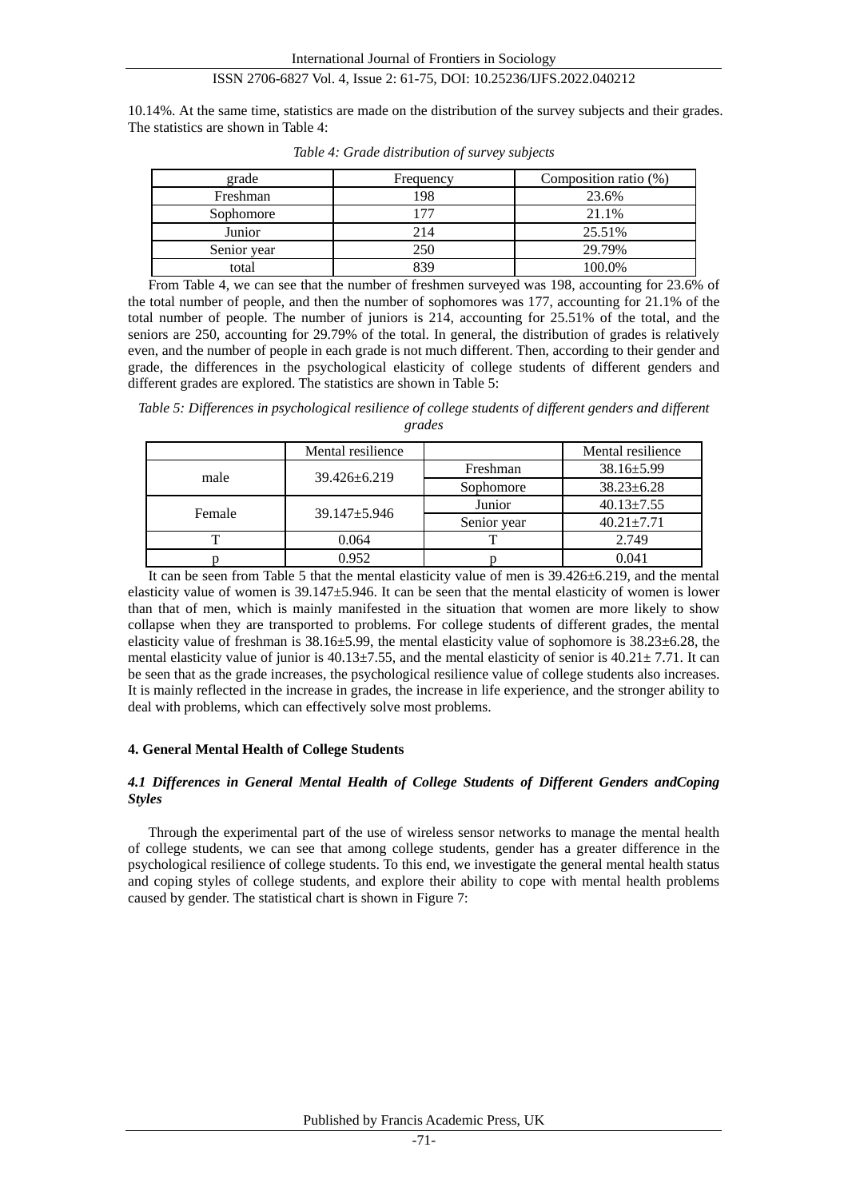10.14%. At the same time, statistics are made on the distribution of the survey subjects and their grades. The statistics are shown in Table 4:

| grade       | Frequency | Composition ratio (%) |
|-------------|-----------|-----------------------|
| Freshman    | 198       | 23.6%                 |
| Sophomore   | 77        | 21.1%                 |
| Junior      | 214       | 25.51%                |
| Senior year | 250       | 29.79%                |
| total       | 830       | 100.0%                |

*Table 4: Grade distribution of survey subjects*

From Table 4, we can see that the number of freshmen surveyed was 198, accounting for 23.6% of the total number of people, and then the number of sophomores was 177, accounting for 21.1% of the total number of people. The number of juniors is 214, accounting for 25.51% of the total, and the seniors are 250, accounting for 29.79% of the total. In general, the distribution of grades is relatively even, and the number of people in each grade is not much different. Then, according to their gender and grade, the differences in the psychological elasticity of college students of different genders and different grades are explored. The statistics are shown in Table 5:

*Table 5: Differences in psychological resilience of college students of different genders and different grades*

|        | Mental resilience |             | Mental resilience |
|--------|-------------------|-------------|-------------------|
| male   | 39.426 ± 6.219    | Freshman    | $38.16 \pm 5.99$  |
|        |                   | Sophomore   | $38.23 \pm 6.28$  |
| Female | $39.147 + 5.946$  | Junior      | $40.13 \pm 7.55$  |
|        |                   | Senior year | $40.21 + 7.71$    |
|        | 0.064             |             | 2.749             |
|        | 0.952             |             | 0.041             |

It can be seen from Table 5 that the mental elasticity value of men is 39.426±6.219, and the mental elasticity value of women is 39.147±5.946. It can be seen that the mental elasticity of women is lower than that of men, which is mainly manifested in the situation that women are more likely to show collapse when they are transported to problems. For college students of different grades, the mental elasticity value of freshman is  $38.16 \pm 5.99$ , the mental elasticity value of sophomore is  $38.23 \pm 6.28$ , the mental elasticity value of junior is  $40.13 \pm 7.55$ , and the mental elasticity of senior is  $40.21 \pm 7.71$ . It can be seen that as the grade increases, the psychological resilience value of college students also increases. It is mainly reflected in the increase in grades, the increase in life experience, and the stronger ability to deal with problems, which can effectively solve most problems.

## **4. General Mental Health of College Students**

## *4.1 Differences in General Mental Health of College Students of Different Genders andCoping Styles*

Through the experimental part of the use of wireless sensor networks to manage the mental health of college students, we can see that among college students, gender has a greater difference in the psychological resilience of college students. To this end, we investigate the general mental health status and coping styles of college students, and explore their ability to cope with mental health problems caused by gender. The statistical chart is shown in Figure 7: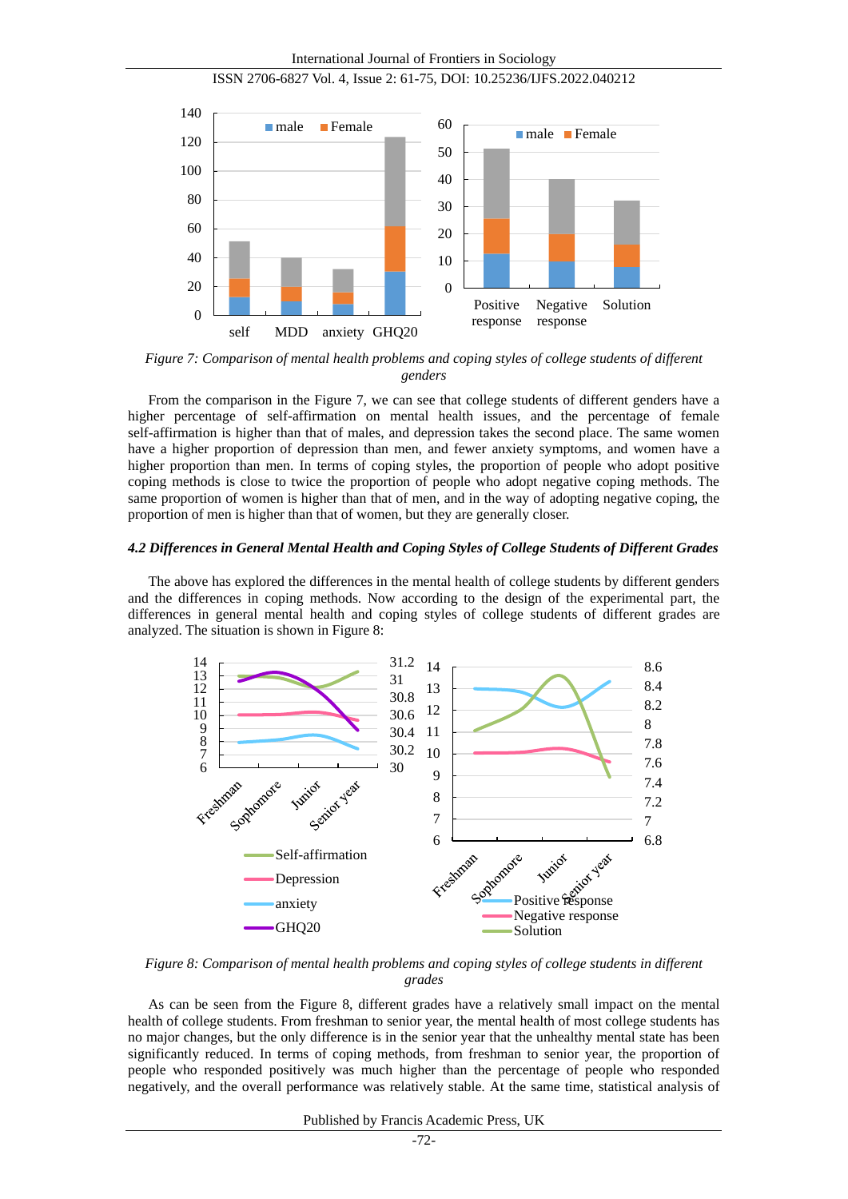International Journal of Frontiers in Sociology



ISSN 2706-6827 Vol. 4, Issue 2: 61-75, DOI: 10.25236/IJFS.2022.040212

*Figure 7: Comparison of mental health problems and coping styles of college students of different genders*

From the comparison in the Figure 7, we can see that college students of different genders have a higher percentage of self-affirmation on mental health issues, and the percentage of female self-affirmation is higher than that of males, and depression takes the second place. The same women have a higher proportion of depression than men, and fewer anxiety symptoms, and women have a higher proportion than men. In terms of coping styles, the proportion of people who adopt positive coping methods is close to twice the proportion of people who adopt negative coping methods. The same proportion of women is higher than that of men, and in the way of adopting negative coping, the proportion of men is higher than that of women, but they are generally closer.

#### *4.2 Differences in General Mental Health and Coping Styles of College Students of Different Grades*

The above has explored the differences in the mental health of college students by different genders and the differences in coping methods. Now according to the design of the experimental part, the differences in general mental health and coping styles of college students of different grades are analyzed. The situation is shown in Figure 8:



*Figure 8: Comparison of mental health problems and coping styles of college students in different grades*

As can be seen from the Figure 8, different grades have a relatively small impact on the mental health of college students. From freshman to senior year, the mental health of most college students has no major changes, but the only difference is in the senior year that the unhealthy mental state has been significantly reduced. In terms of coping methods, from freshman to senior year, the proportion of people who responded positively was much higher than the percentage of people who responded negatively, and the overall performance was relatively stable. At the same time, statistical analysis of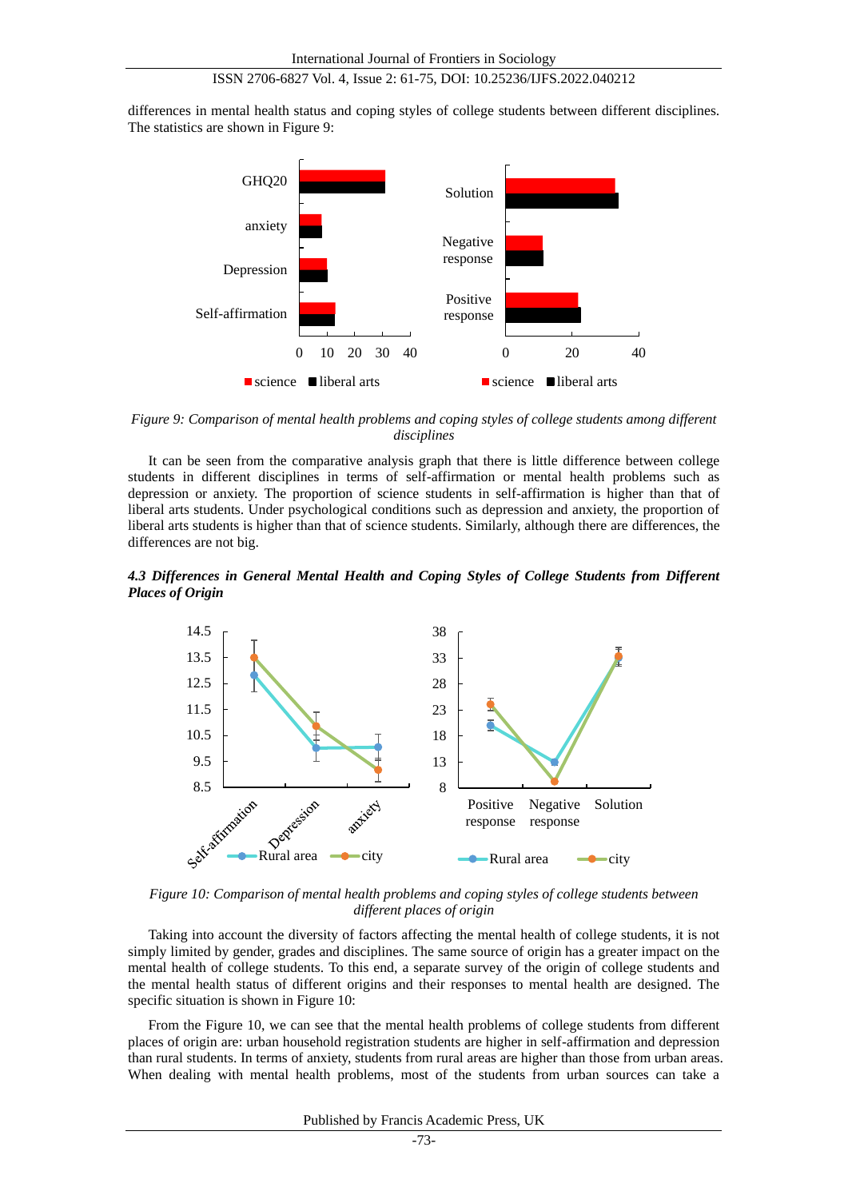differences in mental health status and coping styles of college students between different disciplines. The statistics are shown in Figure 9:



*Figure 9: Comparison of mental health problems and coping styles of college students among different disciplines*

It can be seen from the comparative analysis graph that there is little difference between college students in different disciplines in terms of self-affirmation or mental health problems such as depression or anxiety. The proportion of science students in self-affirmation is higher than that of liberal arts students. Under psychological conditions such as depression and anxiety, the proportion of liberal arts students is higher than that of science students. Similarly, although there are differences, the differences are not big.

*4.3 Differences in General Mental Health and Coping Styles of College Students from Different Places of Origin*



*Figure 10: Comparison of mental health problems and coping styles of college students between different places of origin*

Taking into account the diversity of factors affecting the mental health of college students, it is not simply limited by gender, grades and disciplines. The same source of origin has a greater impact on the mental health of college students. To this end, a separate survey of the origin of college students and the mental health status of different origins and their responses to mental health are designed. The specific situation is shown in Figure 10:

From the Figure 10, we can see that the mental health problems of college students from different places of origin are: urban household registration students are higher in self-affirmation and depression than rural students. In terms of anxiety, students from rural areas are higher than those from urban areas. When dealing with mental health problems, most of the students from urban sources can take a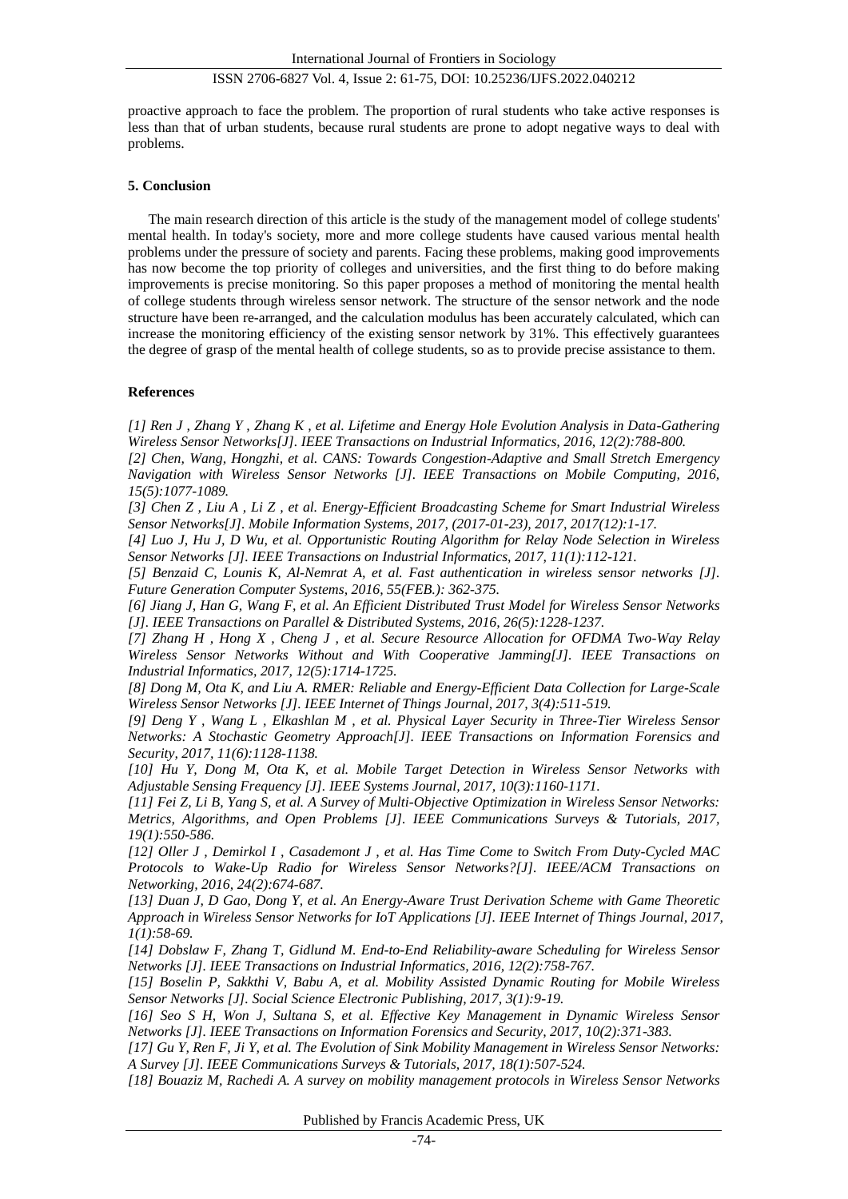proactive approach to face the problem. The proportion of rural students who take active responses is less than that of urban students, because rural students are prone to adopt negative ways to deal with problems.

## **5. Conclusion**

The main research direction of this article is the study of the management model of college students' mental health. In today's society, more and more college students have caused various mental health problems under the pressure of society and parents. Facing these problems, making good improvements has now become the top priority of colleges and universities, and the first thing to do before making improvements is precise monitoring. So this paper proposes a method of monitoring the mental health of college students through wireless sensor network. The structure of the sensor network and the node structure have been re-arranged, and the calculation modulus has been accurately calculated, which can increase the monitoring efficiency of the existing sensor network by 31%. This effectively guarantees the degree of grasp of the mental health of college students, so as to provide precise assistance to them.

## **References**

*[1] Ren J , Zhang Y , Zhang K , et al. Lifetime and Energy Hole Evolution Analysis in Data-Gathering Wireless Sensor Networks[J]. IEEE Transactions on Industrial Informatics, 2016, 12(2):788-800.*

*[2] Chen, Wang, Hongzhi, et al. CANS: Towards Congestion-Adaptive and Small Stretch Emergency Navigation with Wireless Sensor Networks [J]. IEEE Transactions on Mobile Computing, 2016, 15(5):1077-1089.*

*[3] Chen Z , Liu A , Li Z , et al. Energy-Efficient Broadcasting Scheme for Smart Industrial Wireless Sensor Networks[J]. Mobile Information Systems, 2017, (2017-01-23), 2017, 2017(12):1-17.*

*[4] Luo J, Hu J, D Wu, et al. Opportunistic Routing Algorithm for Relay Node Selection in Wireless Sensor Networks [J]. IEEE Transactions on Industrial Informatics, 2017, 11(1):112-121.*

*[5] Benzaid C, Lounis K, Al-Nemrat A, et al. Fast authentication in wireless sensor networks [J]. Future Generation Computer Systems, 2016, 55(FEB.): 362-375.*

*[6] Jiang J, Han G, Wang F, et al. An Efficient Distributed Trust Model for Wireless Sensor Networks [J]. IEEE Transactions on Parallel & Distributed Systems, 2016, 26(5):1228-1237.*

*[7] Zhang H , Hong X , Cheng J , et al. Secure Resource Allocation for OFDMA Two-Way Relay Wireless Sensor Networks Without and With Cooperative Jamming[J]. IEEE Transactions on Industrial Informatics, 2017, 12(5):1714-1725.*

*[8] Dong M, Ota K, and Liu A. RMER: Reliable and Energy-Efficient Data Collection for Large-Scale Wireless Sensor Networks [J]. IEEE Internet of Things Journal, 2017, 3(4):511-519.*

*[9] Deng Y , Wang L , Elkashlan M , et al. Physical Layer Security in Three-Tier Wireless Sensor Networks: A Stochastic Geometry Approach[J]. IEEE Transactions on Information Forensics and Security, 2017, 11(6):1128-1138.*

*[10] Hu Y, Dong M, Ota K, et al. Mobile Target Detection in Wireless Sensor Networks with Adjustable Sensing Frequency [J]. IEEE Systems Journal, 2017, 10(3):1160-1171.*

*[11] Fei Z, Li B, Yang S, et al. A Survey of Multi-Objective Optimization in Wireless Sensor Networks: Metrics, Algorithms, and Open Problems [J]. IEEE Communications Surveys & Tutorials, 2017, 19(1):550-586.*

*[12] Oller J , Demirkol I , Casademont J , et al. Has Time Come to Switch From Duty-Cycled MAC Protocols to Wake-Up Radio for Wireless Sensor Networks?[J]. IEEE/ACM Transactions on Networking, 2016, 24(2):674-687.*

*[13] Duan J, D Gao, Dong Y, et al. An Energy-Aware Trust Derivation Scheme with Game Theoretic Approach in Wireless Sensor Networks for IoT Applications [J]. IEEE Internet of Things Journal, 2017, 1(1):58-69.*

*[14] Dobslaw F, Zhang T, Gidlund M. End-to-End Reliability-aware Scheduling for Wireless Sensor Networks [J]. IEEE Transactions on Industrial Informatics, 2016, 12(2):758-767.*

*[15] Boselin P, Sakkthi V, Babu A, et al. Mobility Assisted Dynamic Routing for Mobile Wireless Sensor Networks [J]. Social Science Electronic Publishing, 2017, 3(1):9-19.*

*[16] Seo S H, Won J, Sultana S, et al. Effective Key Management in Dynamic Wireless Sensor Networks [J]. IEEE Transactions on Information Forensics and Security, 2017, 10(2):371-383.*

*[17] Gu Y, Ren F, Ji Y, et al. The Evolution of Sink Mobility Management in Wireless Sensor Networks: A Survey [J]. IEEE Communications Surveys & Tutorials, 2017, 18(1):507-524.*

*[18] Bouaziz M, Rachedi A. A survey on mobility management protocols in Wireless Sensor Networks*